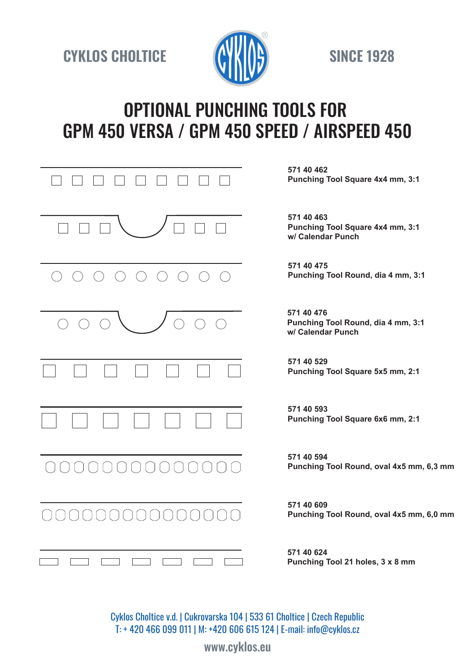**CYKLOS CHOLTICE SINCE 1928** 



# OPTIONAL PUNCHING TOOLS FOR GPM 450 VERSA / GPM 450 SPEED / AIRSPEED 450

| 571 40 462<br>Punching Tool Square 4x4 mm, 3:1                        |
|-----------------------------------------------------------------------|
| 571 40 463<br>Punching Tool Square 4x4 mm, 3:1<br>w/ Calendar Punch   |
| 571 40 475<br>Punching Tool Round, dia 4 mm, 3:1                      |
| 571 40 476<br>Punching Tool Round, dia 4 mm, 3:1<br>w/ Calendar Punch |
| 571 40 529<br>Punching Tool Square 5x5 mm, 2:1                        |
| 571 40 593<br>Punching Tool Square 6x6 mm, 2:1                        |
| 571 40 594<br>Punching Tool Round, oval 4x5 mm, 6,3 mm                |
| 571 40 609<br>Punching Tool Round, oval 4x5 mm, 6,0 mm                |
| 571 40 624<br>Punching Tool 21 holes, 3 x 8 mm                        |

Cyklos Choltice v.d. | Cukrovarska 104 | 533 61 Choltice | Czech Republic T: + 420 466 099 011 | M: +420 606 615 124 | E-mail: info@cyklos.cz

www.cyklos.eu